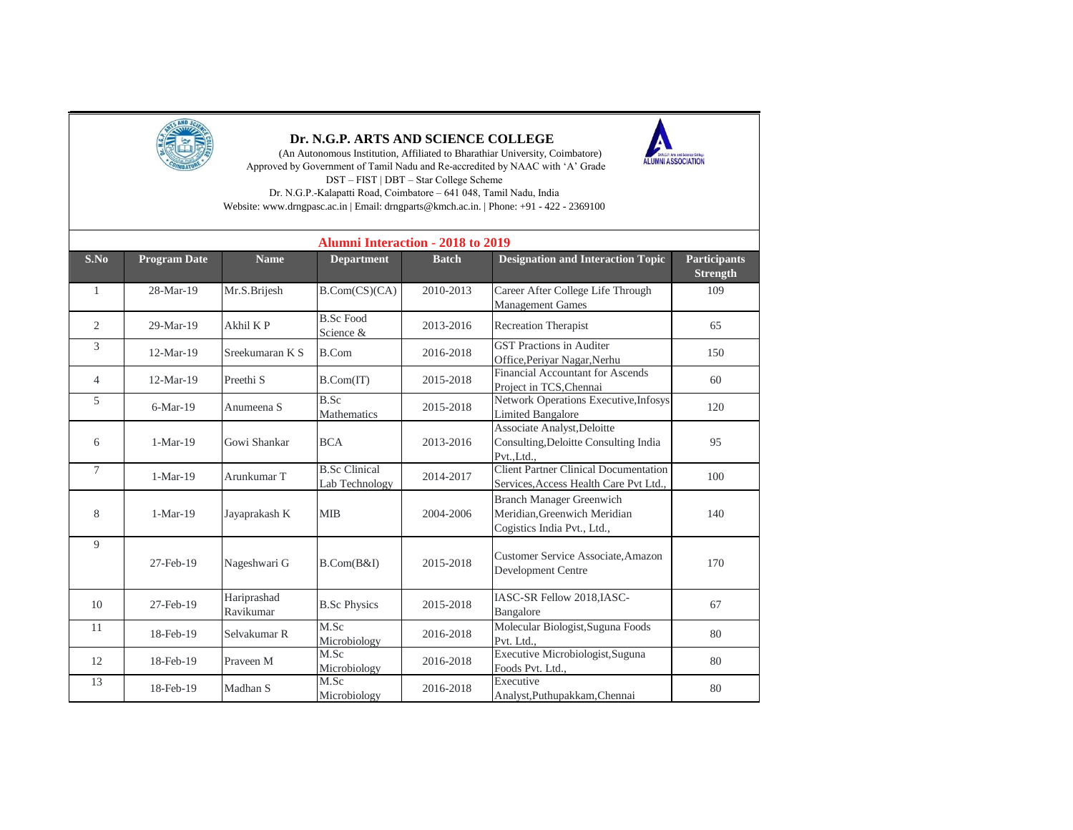

## **Dr. N.G.P. ARTS AND SCIENCE COLLEGE**

 (An Autonomous Institution, Affiliated to Bharathiar University, Coimbatore) Approved by Government of Tamil Nadu and Re-accredited by NAAC with 'A' Grade DST – FIST | DBT – Star College Scheme Dr. N.G.P.-Kalapatti Road, Coimbatore – 641 048, Tamil Nadu, India

Website: www.drngpasc.ac.in | Email: drngparts@kmch.ac.in. | Phone: +91 - 422 - 2369100

| <b>Alumni Interaction - 2018 to 2019</b> |                     |                          |                                        |              |                                                                                                |                                        |  |
|------------------------------------------|---------------------|--------------------------|----------------------------------------|--------------|------------------------------------------------------------------------------------------------|----------------------------------------|--|
| S.No                                     | <b>Program Date</b> | <b>Name</b>              | <b>Department</b>                      | <b>Batch</b> | <b>Designation and Interaction Topic</b>                                                       | <b>Participants</b><br><b>Strength</b> |  |
| 1                                        | 28-Mar-19           | Mr.S.Brijesh             | B.Com(CS)(CA)                          | 2010-2013    | Career After College Life Through<br><b>Management Games</b>                                   | 109                                    |  |
| 2                                        | 29-Mar-19           | Akhil K P                | <b>B.Sc Food</b><br>Science &          | 2013-2016    | Recreation Therapist                                                                           | 65                                     |  |
| 3                                        | $12-Mar-19$         | Sreekumaran K S          | <b>B.Com</b>                           | 2016-2018    | <b>GST Practions in Auditer</b><br>Office, Periyar Nagar, Nerhu                                | 150                                    |  |
| $\overline{4}$                           | 12-Mar-19           | Preethi <sub>S</sub>     | B. Com(T)                              | 2015-2018    | <b>Financial Accountant for Ascends</b><br>Project in TCS, Chennai                             | 60                                     |  |
| 5                                        | $6-Mar-19$          | Anumeena S               | B.Sc<br>Mathematics                    | 2015-2018    | Network Operations Executive, Infosys<br><b>Limited Bangalore</b>                              | 120                                    |  |
| 6                                        | $1-Mar-19$          | Gowi Shankar             | <b>BCA</b>                             | 2013-2016    | Associate Analyst, Deloitte<br>Consulting, Deloitte Consulting India<br>PvtLtd                 | 95                                     |  |
| $\tau$                                   | $1-Mar-19$          | Arunkumar T              | <b>B.Sc Clinical</b><br>Lab Technology | 2014-2017    | <b>Client Partner Clinical Documentation</b><br>Services, Access Health Care Pvt Ltd           | 100                                    |  |
| 8                                        | $1-Mar-19$          | Jayaprakash K            | <b>MIB</b>                             | 2004-2006    | <b>Branch Manager Greenwich</b><br>Meridian, Greenwich Meridian<br>Cogistics India Pvt., Ltd., | 140                                    |  |
| 9                                        | 27-Feb-19           | Nageshwari G             | B.Com(B&I)                             | 2015-2018    | Customer Service Associate, Amazon<br>Development Centre                                       | 170                                    |  |
| 10                                       | 27-Feb-19           | Hariprashad<br>Ravikumar | <b>B.Sc Physics</b>                    | 2015-2018    | IASC-SR Fellow 2018, IASC-<br>Bangalore                                                        | 67                                     |  |
| 11                                       | 18-Feb-19           | Selvakumar R             | M.Sc<br>Microbiology                   | 2016-2018    | Molecular Biologist, Suguna Foods<br>Pvt. Ltd.,                                                | 80                                     |  |
| 12                                       | 18-Feb-19           | Praveen M                | M.Sc<br>Microbiology                   | 2016-2018    | Executive Microbiologist, Suguna<br>Foods Pvt. Ltd.,                                           | 80                                     |  |
| 13                                       | 18-Feb-19           | Madhan S                 | M.Sc<br>Microbiology                   | 2016-2018    | Executive<br>Analyst, Puthupakkam, Chennai                                                     | 80                                     |  |

ALUMNI ASSOCIATION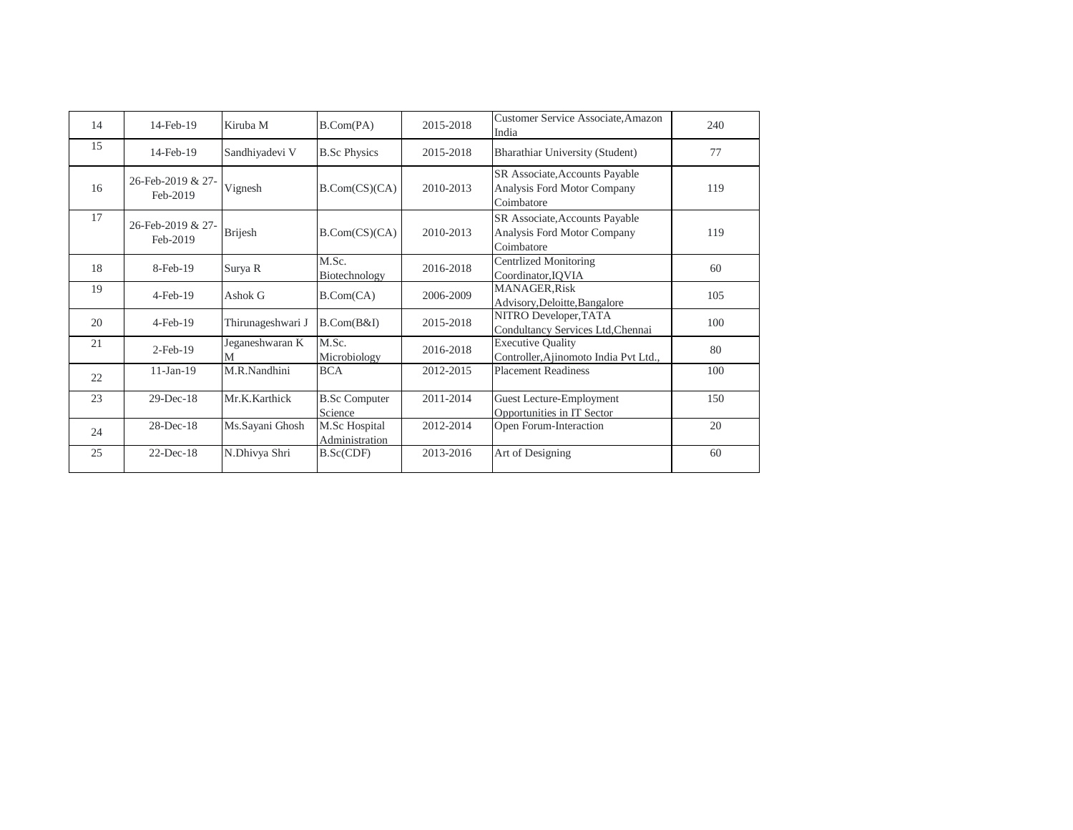| 14 | 14-Feb-19                     | Kiruba M             | B.Com(PA)                       | 2015-2018 | Customer Service Associate, Amazon<br>India                                 | 240 |
|----|-------------------------------|----------------------|---------------------------------|-----------|-----------------------------------------------------------------------------|-----|
| 15 | 14-Feb-19                     | Sandhiyadevi V       | <b>B.Sc Physics</b>             | 2015-2018 | Bharathiar University (Student)                                             | 77  |
| 16 | 26-Feb-2019 & 27-<br>Feb-2019 | Vignesh              | B.Com(CS)(CA)                   | 2010-2013 | SR Associate, Accounts Payable<br>Analysis Ford Motor Company<br>Coimbatore | 119 |
| 17 | 26-Feb-2019 & 27-<br>Feb-2019 | <b>Brijesh</b>       | B.Com(CS)(CA)                   | 2010-2013 | SR Associate, Accounts Payable<br>Analysis Ford Motor Company<br>Coimbatore | 119 |
| 18 | $8$ -Feb-19                   | Surya R              | M.Sc.<br>Biotechnology          | 2016-2018 | Centrlized Monitoring<br>Coordinator, IOVIA                                 | 60  |
| 19 | $4$ -Feb-19                   | Ashok G              | B.Com(CA)                       | 2006-2009 | <b>MANAGER, Risk</b><br>Advisory, Deloitte, Bangalore                       | 105 |
| 20 | $4$ -Feb-19                   | Thirunageshwari J    | $B$ . $Com(B&I)$                | 2015-2018 | NITRO Developer, TATA<br>Condultancy Services Ltd, Chennai                  | 100 |
| 21 | $2$ -Feb-19                   | Jeganeshwaran K<br>M | M.Sc.<br>Microbiology           | 2016-2018 | <b>Executive Quality</b><br>Controller, Ajinomoto India Pvt Ltd.,           | 80  |
| 22 | $11-Jan-19$                   | M.R.Nandhini         | <b>BCA</b>                      | 2012-2015 | <b>Placement Readiness</b>                                                  | 100 |
| 23 | $29$ -Dec-18                  | Mr.K.Karthick        | <b>B.Sc Computer</b><br>Science | 2011-2014 | Guest Lecture-Employment<br>Opportunities in IT Sector                      | 150 |
| 24 | $28$ -Dec-18                  | Ms.Sayani Ghosh      | M.Sc Hospital<br>Administration | 2012-2014 | Open Forum-Interaction                                                      | 20  |
| 25 | $22$ -Dec-18                  | N.Dhivya Shri        | B.Sc(CDF)                       | 2013-2016 | Art of Designing                                                            | 60  |